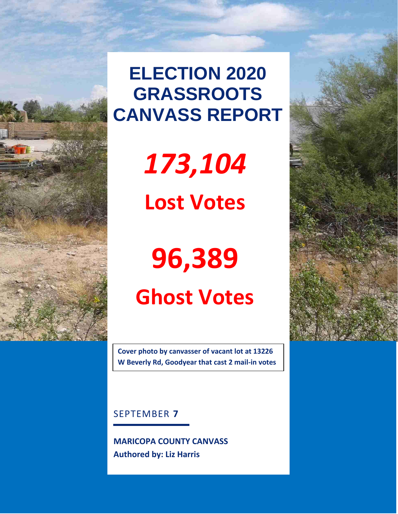

# **ELECTION 2020 GRASSROOTS CANVASS REPORT**

*173,104*

**Lost Votes**

# **96,389 Ghost Votes**

**Cover photo by canvasser of vacant lot at 13226 W Beverly Rd, Goodyear that cast 2 mail-in votes** 

SEPTEMBER **7**

 **MARICOPA COUNTY CANVASS Authored by: Liz Harris**

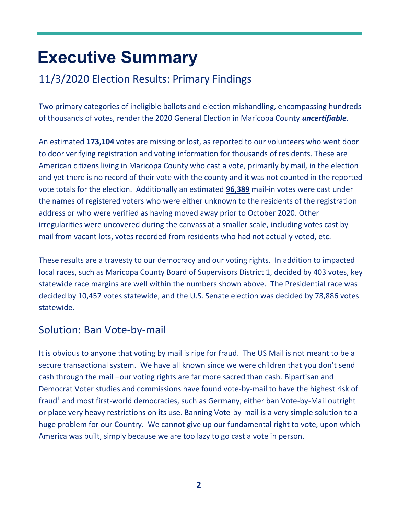# **Executive Summary**

# 11/3/2020 Election Results: Primary Findings

Two primary categories of ineligible ballots and election mishandling, encompassing hundreds of thousands of votes, render the 2020 General Election in Maricopa County *uncertifiable*.

An estimated **173,104** votes are missing or lost, as reported to our volunteers who went door to door verifying registration and voting information for thousands of residents. These are American citizens living in Maricopa County who cast a vote, primarily by mail, in the election and yet there is no record of their vote with the county and it was not counted in the reported vote totals for the election. Additionally an estimated **96,389** mail-in votes were cast under the names of registered voters who were either unknown to the residents of the registration address or who were verified as having moved away prior to October 2020. Other irregularities were uncovered during the canvass at a smaller scale, including votes cast by mail from vacant lots, votes recorded from residents who had not actually voted, etc.

These results are a travesty to our democracy and our voting rights. In addition to impacted local races, such as Maricopa County Board of Supervisors District 1, decided by 403 votes, key statewide race margins are well within the numbers shown above. The Presidential race was decided by 10,457 votes statewide, and the U.S. Senate election was decided by 78,886 votes statewide.

### Solution: Ban Vote-by-mail

It is obvious to anyone that voting by mail is ripe for fraud. The US Mail is not meant to be a secure transactional system. We have all known since we were children that you don't send cash through the mail –our voting rights are far more sacred than cash. Bipartisan and Democrat Voter studies and commissions have found vote-by-mail to have the highest risk of fraud<sup>1</sup> and most first-world democracies, such as Germany, either ban Vote-by-Mail outright or place very heavy restrictions on its use. Banning Vote-by-mail is a very simple solution to a huge problem for our Country. We cannot give up our fundamental right to vote, upon which America was built, simply because we are too lazy to go cast a vote in person.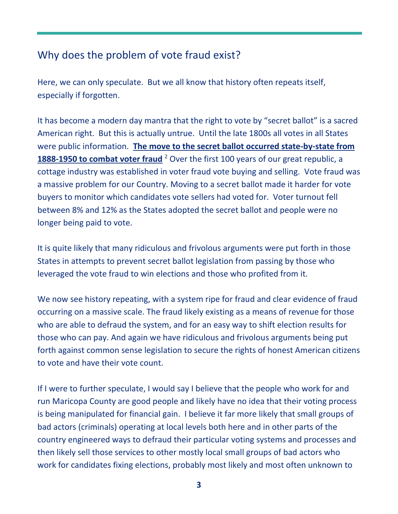# Why does the problem of vote fraud exist?

Here, we can only speculate. But we all know that history often repeats itself, especially if forgotten.

It has become a modern day mantra that the right to vote by "secret ballot" is a sacred American right. But this is actually untrue. Until the late 1800s all votes in all States were public information. **The move to the secret ballot occurred state-by-state from**  1888-1950 to combat voter fraud<sup>2</sup> Over the first 100 years of our great republic, a cottage industry was established in voter fraud vote buying and selling. Vote fraud was a massive problem for our Country. Moving to a secret ballot made it harder for vote buyers to monitor which candidates vote sellers had voted for. Voter turnout fell between 8% and 12% as the States adopted the secret ballot and people were no longer being paid to vote.

It is quite likely that many ridiculous and frivolous arguments were put forth in those States in attempts to prevent secret ballot legislation from passing by those who leveraged the vote fraud to win elections and those who profited from it.

We now see history repeating, with a system ripe for fraud and clear evidence of fraud occurring on a massive scale. The fraud likely existing as a means of revenue for those who are able to defraud the system, and for an easy way to shift election results for those who can pay. And again we have ridiculous and frivolous arguments being put forth against common sense legislation to secure the rights of honest American citizens to vote and have their vote count.

If I were to further speculate, I would say I believe that the people who work for and run Maricopa County are good people and likely have no idea that their voting process is being manipulated for financial gain. I believe it far more likely that small groups of bad actors (criminals) operating at local levels both here and in other parts of the country engineered ways to defraud their particular voting systems and processes and then likely sell those services to other mostly local small groups of bad actors who work for candidates fixing elections, probably most likely and most often unknown to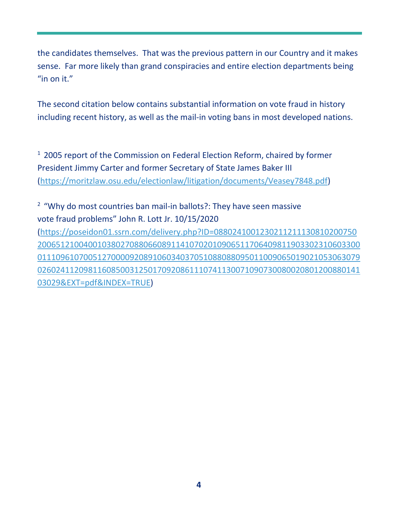the candidates themselves. That was the previous pattern in our Country and it makes sense. Far more likely than grand conspiracies and entire election departments being "in on it."

The second citation below contains substantial information on vote fraud in history including recent history, as well as the mail-in voting bans in most developed nations.

<sup>1</sup> 2005 report of the Commission on Federal Election Reform, chaired by former President Jimmy Carter and former Secretary of State James Baker III [\(https://moritzlaw.osu.edu/electionlaw/litigation/documents/Veasey7848.pdf\)](https://moritzlaw.osu.edu/electionlaw/litigation/documents/Veasey7848.pdf)

<sup>2</sup> "Why do most countries ban mail-in ballots?: They have seen massive vote fraud problems" John R. Lott Jr. 10/15/2020

[\(https://poseidon01.ssrn.com/delivery.php?ID=0880241001230211211130810200750](https://poseidon01.ssrn.com/delivery.php?ID=088024100123021121113081020075020065121004001038027088066089114107020109065117064098119033023106033000111096107005127000092089106034037051088088095011009065019021053063079026024112098116085003125017092086111074113007109073008002080120088014103029&EXT=pdf&INDEX=TRUE) [2006512100400103802708806608911410702010906511706409811903302310603300](https://poseidon01.ssrn.com/delivery.php?ID=088024100123021121113081020075020065121004001038027088066089114107020109065117064098119033023106033000111096107005127000092089106034037051088088095011009065019021053063079026024112098116085003125017092086111074113007109073008002080120088014103029&EXT=pdf&INDEX=TRUE) [0111096107005127000092089106034037051088088095011009065019021053063079](https://poseidon01.ssrn.com/delivery.php?ID=088024100123021121113081020075020065121004001038027088066089114107020109065117064098119033023106033000111096107005127000092089106034037051088088095011009065019021053063079026024112098116085003125017092086111074113007109073008002080120088014103029&EXT=pdf&INDEX=TRUE) [0260241120981160850031250170920861110741130071090730080020801200880141](https://poseidon01.ssrn.com/delivery.php?ID=088024100123021121113081020075020065121004001038027088066089114107020109065117064098119033023106033000111096107005127000092089106034037051088088095011009065019021053063079026024112098116085003125017092086111074113007109073008002080120088014103029&EXT=pdf&INDEX=TRUE) [03029&EXT=pdf&INDEX=TRUE\)](https://poseidon01.ssrn.com/delivery.php?ID=088024100123021121113081020075020065121004001038027088066089114107020109065117064098119033023106033000111096107005127000092089106034037051088088095011009065019021053063079026024112098116085003125017092086111074113007109073008002080120088014103029&EXT=pdf&INDEX=TRUE)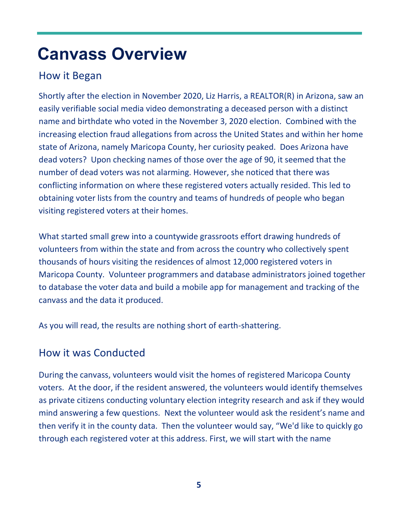# **Canvass Overview**

### How it Began

Shortly after the election in November 2020, Liz Harris, a REALTOR(R) in Arizona, saw an easily verifiable social media video demonstrating a deceased person with a distinct name and birthdate who voted in the November 3, 2020 election. Combined with the increasing election fraud allegations from across the United States and within her home state of Arizona, namely Maricopa County, her curiosity peaked. Does Arizona have dead voters? Upon checking names of those over the age of 90, it seemed that the number of dead voters was not alarming. However, she noticed that there was conflicting information on where these registered voters actually resided. This led to obtaining voter lists from the country and teams of hundreds of people who began visiting registered voters at their homes.

What started small grew into a countywide grassroots effort drawing hundreds of volunteers from within the state and from across the country who collectively spent thousands of hours visiting the residences of almost 12,000 registered voters in Maricopa County. Volunteer programmers and database administrators joined together to database the voter data and build a mobile app for management and tracking of the canvass and the data it produced.

As you will read, the results are nothing short of earth-shattering.

### How it was Conducted

During the canvass, volunteers would visit the homes of registered Maricopa County voters. At the door, if the resident answered, the volunteers would identify themselves as private citizens conducting voluntary election integrity research and ask if they would mind answering a few questions. Next the volunteer would ask the resident's name and then verify it in the county data. Then the volunteer would say, "We'd like to quickly go through each registered voter at this address. First, we will start with the name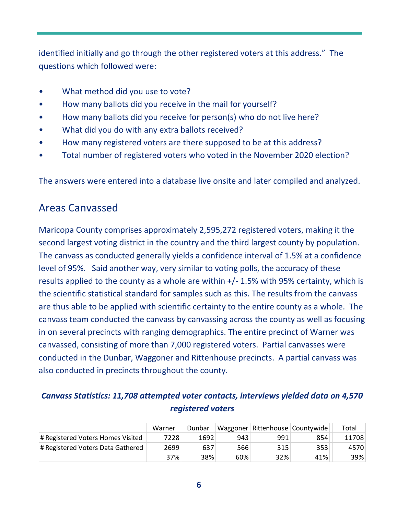identified initially and go through the other registered voters at this address." The questions which followed were:

- What method did you use to vote?
- How many ballots did you receive in the mail for yourself?
- How many ballots did you receive for person(s) who do not live here?
- What did you do with any extra ballots received?
- How many registered voters are there supposed to be at this address?
- Total number of registered voters who voted in the November 2020 election?

The answers were entered into a database live onsite and later compiled and analyzed.

### Areas Canvassed

Maricopa County comprises approximately 2,595,272 registered voters, making it the second largest voting district in the country and the third largest county by population. The canvass as conducted generally yields a confidence interval of 1.5% at a confidence level of 95%. Said another way, very similar to voting polls, the accuracy of these results applied to the county as a whole are within +/- 1.5% with 95% certainty, which is the scientific statistical standard for samples such as this. The results from the canvass are thus able to be applied with scientific certainty to the entire county as a whole. The canvass team conducted the canvass by canvassing across the county as well as focusing in on several precincts with ranging demographics. The entire precinct of Warner was canvassed, consisting of more than 7,000 registered voters. Partial canvasses were conducted in the Dunbar, Waggoner and Rittenhouse precincts. A partial canvass was also conducted in precincts throughout the county.

#### *Canvass Statistics: 11,708 attempted voter contacts, interviews yielded data on 4,570 registered voters*

|                                   | Warner | Dunbar |     |     | Waggoner Rittenhouse Countywide | Total |
|-----------------------------------|--------|--------|-----|-----|---------------------------------|-------|
| # Registered Voters Homes Visited | 7228   | 1692   | 943 | 991 | 854                             | 11708 |
| # Registered Voters Data Gathered | 2699   | 637    | 566 | 315 | 353                             | 4570  |
|                                   | 37%    | 38%    | 60% | 32% | 41%                             | 39%   |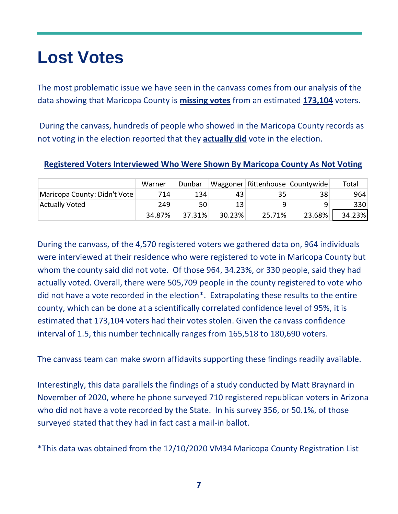# **Lost Votes**

The most problematic issue we have seen in the canvass comes from our analysis of the data showing that Maricopa County is **missing votes** from an estimated **173,104** voters.

During the canvass, hundreds of people who showed in the Maricopa County records as not voting in the election reported that they **actually did** vote in the election.

|                              | Warner |  | Dunbar   Waggoner   Rittenhouse   Countywide | Total |
|------------------------------|--------|--|----------------------------------------------|-------|
| Maricopa County: Didn't Vote |        |  | 38                                           | 964   |

Actually Voted 13 249 50 13 9 9 330

34.87% 37.31% 30.23% 25.71% 23.68% 34.23%

#### **Registered Voters Interviewed Who Were Shown By Maricopa County As Not Voting**

During the canvass, of the 4,570 registered voters we gathered data on, 964 individuals were interviewed at their residence who were registered to vote in Maricopa County but whom the county said did not vote. Of those 964, 34.23%, or 330 people, said they had actually voted. Overall, there were 505,709 people in the county registered to vote who did not have a vote recorded in the election\*. Extrapolating these results to the entire county, which can be done at a scientifically correlated confidence level of 95%, it is estimated that 173,104 voters had their votes stolen. Given the canvass confidence interval of 1.5, this number technically ranges from 165,518 to 180,690 voters.

The canvass team can make sworn affidavits supporting these findings readily available.

Interestingly, this data parallels the findings of a study conducted by Matt Braynard in November of 2020, where he phone surveyed 710 registered republican voters in Arizona who did not have a vote recorded by the State. In his survey 356, or 50.1%, of those surveyed stated that they had in fact cast a mail-in ballot.

\*This data was obtained from the 12/10/2020 VM34 Maricopa County Registration List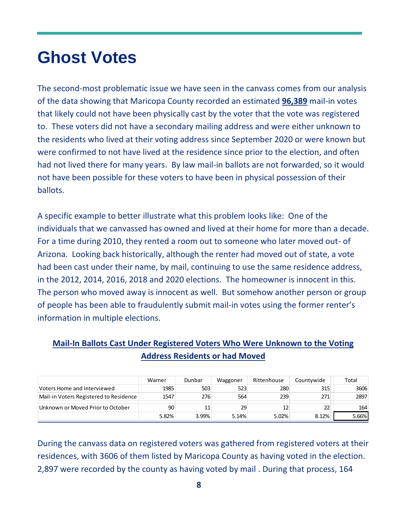# **Ghost Votes**

The second-most problematic issue we have seen in the canvass comes from our analysis of the data showing that Maricopa County recorded an estimated **96,389** mail-in votes that likely could not have been physically cast by the voter that the vote was registered to. These voters did not have a secondary mailing address and were either unknown to the residents who lived at their voting address since September 2020 or were known but were confirmed to not have lived at the residence since prior to the election, and often had not lived there for many years. By law mail-in ballots are not forwarded, so it would not have been possible for these voters to have been in physical possession of their ballots.

A specific example to better illustrate what this problem looks like: One of the individuals that we canvassed has owned and lived at their home for more than a decade. For a time during 2010, they rented a room out to someone who later moved out- of Arizona. Looking back historically, although the renter had moved out of state, a vote had been cast under their name, by mail, continuing to use the same residence address, in the 2012, 2014, 2016, 2018 and 2020 elections. The homeowner is innocent in this. The person who moved away is innocent as well. But somehow another person or group of people has been able to fraudulently submit mail-in votes using the former renter's information in multiple elections.

#### **Mail-In Ballots Cast Under Registered Voters Who Were Unknown to the Voting Address Residents or had Moved**

|                                                                                           | Warner | Dunbar | Waggoner | Rittenhouse | Countywide | Total |
|-------------------------------------------------------------------------------------------|--------|--------|----------|-------------|------------|-------|
| Voters Home and Interviewed                                                               | 1985   | 503    | 523      | 280         | 315        | 3606  |
| Mail-in Voters Registered to Residence                                                    | 1547   | 276    | 564      | 239         | 271        | 2897  |
| Unknown or Moved Prior to October                                                         | 90     | 11     | 29       | 12          | 22         | 164   |
|                                                                                           | 5.82%  | 3.99%  | 5.14%    | 5.02%       | 8.12%      | 5.66% |
| During the canvass data on registered voters was gathered from registered voters at their |        |        |          |             |            |       |
| residences, with 3606 of them listed by Maricopa County as having voted in the election.  |        |        |          |             |            |       |
| 2,897 were recorded by the county as having voted by mail. During that process, 164       |        |        |          |             |            |       |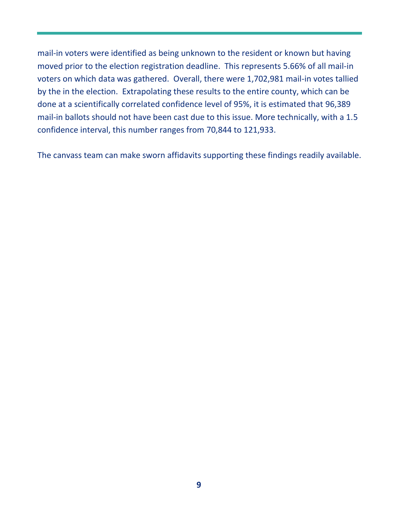mail-in voters were identified as being unknown to the resident or known but having moved prior to the election registration deadline. This represents 5.66% of all mail-in voters on which data was gathered. Overall, there were 1,702,981 mail-in votes tallied by the in the election. Extrapolating these results to the entire county, which can be done at a scientifically correlated confidence level of 95%, it is estimated that 96,389 mail-in ballots should not have been cast due to this issue. More technically, with a 1.5 confidence interval, this number ranges from 70,844 to 121,933.

The canvass team can make sworn affidavits supporting these findings readily available.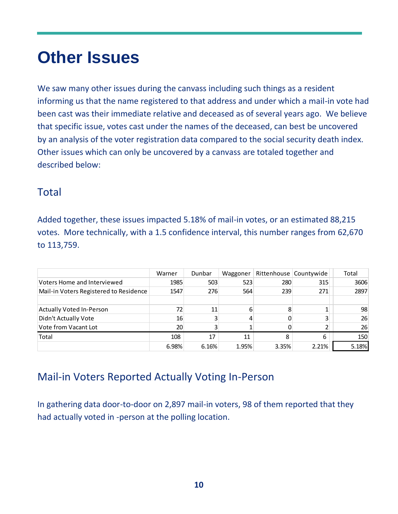# **Other Issues**

We saw many other issues during the canvass including such things as a resident informing us that the name registered to that address and under which a mail-in vote had been cast was their immediate relative and deceased as of several years ago. We believe that specific issue, votes cast under the names of the deceased, can best be uncovered by an analysis of the voter registration data compared to the social security death index. Other issues which can only be uncovered by a canvass are totaled together and described below:

### Total

Added together, these issues impacted 5.18% of mail-in votes, or an estimated 88,215 votes. More technically, with a 1.5 confidence interval, this number ranges from 62,670 to 113,759.

|                                        | Warner | Dunbar | Waggoner |       | Rittenhouse   Countywide | Total |
|----------------------------------------|--------|--------|----------|-------|--------------------------|-------|
| Voters Home and Interviewed            | 1985   | 503    | 523      | 280   | 315                      | 3606  |
| Mail-in Voters Registered to Residence | 1547   | 276    | 564      | 239   | 271                      | 2897  |
|                                        |        |        |          |       |                          |       |
| Actually Voted In-Person               | 72     | 11     | 6        | 8     |                          | 98    |
| Didn't Actually Vote                   | 16     |        | 4        |       |                          | 26    |
| Vote from Vacant Lot                   | 20     |        |          |       |                          | 26    |
| Total                                  | 108    | 17     | 11       | 8     | 6                        | 150   |
|                                        | 6.98%  | 6.16%  | 1.95%    | 3.35% | 2.21%                    | 5.18% |

# Mail-in Voters Reported Actually Voting In-Person

In gathering data door-to-door on 2,897 mail-in voters, 98 of them reported that they had actually voted in -person at the polling location.